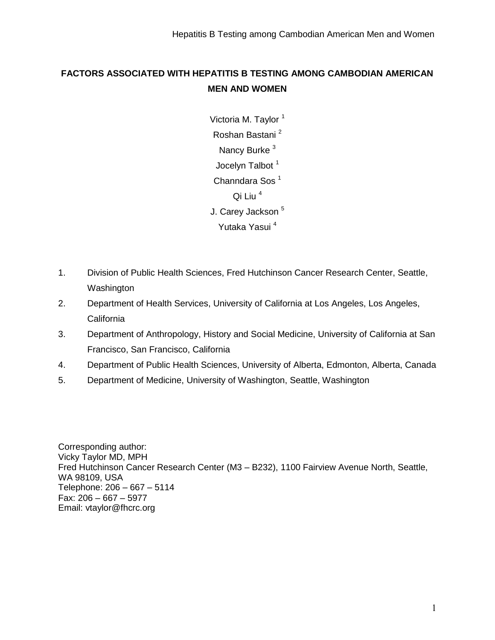## **FACTORS ASSOCIATED WITH HEPATITIS B TESTING AMONG CAMBODIAN AMERICAN MEN AND WOMEN**

Victoria M. Taylor<sup>1</sup> Roshan Bastani <sup>2</sup> Nancy Burke<sup>3</sup> Jocelyn Talbot<sup>1</sup> Channdara Sos<sup>1</sup> Qi Liu<sup>4</sup> J. Carey Jackson<sup>5</sup> Yutaka Yasui <sup>4</sup>

- 1. Division of Public Health Sciences, Fred Hutchinson Cancer Research Center, Seattle, Washington
- 2. Department of Health Services, University of California at Los Angeles, Los Angeles, **California**
- 3. Department of Anthropology, History and Social Medicine, University of California at San Francisco, San Francisco, California
- 4. Department of Public Health Sciences, University of Alberta, Edmonton, Alberta, Canada
- 5. Department of Medicine, University of Washington, Seattle, Washington

Corresponding author: Vicky Taylor MD, MPH Fred Hutchinson Cancer Research Center (M3 – B232), 1100 Fairview Avenue North, Seattle, WA 98109, USA Telephone: 206 – 667 – 5114 Fax: 206 – 667 – 5977 Email: vtaylor@fhcrc.org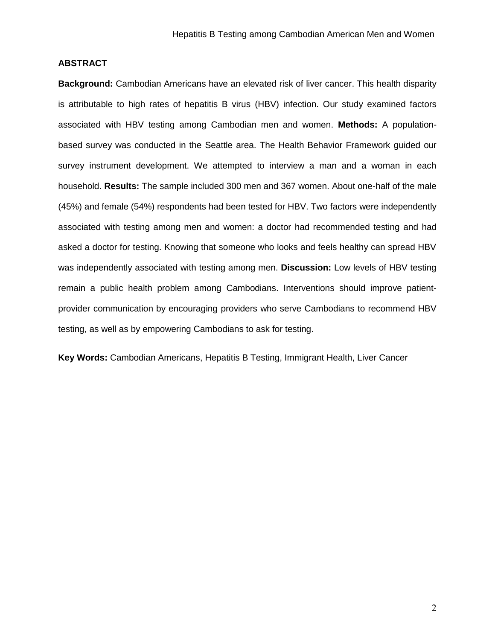### **ABSTRACT**

**Background:** Cambodian Americans have an elevated risk of liver cancer. This health disparity is attributable to high rates of hepatitis B virus (HBV) infection. Our study examined factors associated with HBV testing among Cambodian men and women. **Methods:** A populationbased survey was conducted in the Seattle area. The Health Behavior Framework guided our survey instrument development. We attempted to interview a man and a woman in each household. **Results:** The sample included 300 men and 367 women. About one-half of the male (45%) and female (54%) respondents had been tested for HBV. Two factors were independently associated with testing among men and women: a doctor had recommended testing and had asked a doctor for testing. Knowing that someone who looks and feels healthy can spread HBV was independently associated with testing among men. **Discussion:** Low levels of HBV testing remain a public health problem among Cambodians. Interventions should improve patientprovider communication by encouraging providers who serve Cambodians to recommend HBV testing, as well as by empowering Cambodians to ask for testing.

**Key Words:** Cambodian Americans, Hepatitis B Testing, Immigrant Health, Liver Cancer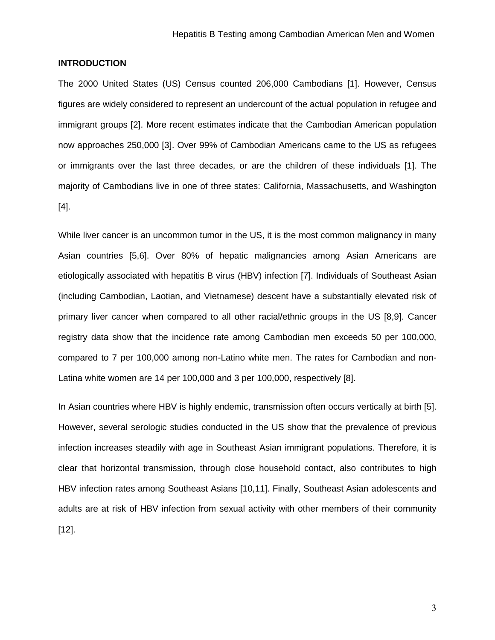#### **INTRODUCTION**

The 2000 United States (US) Census counted 206,000 Cambodians [1]. However, Census figures are widely considered to represent an undercount of the actual population in refugee and immigrant groups [2]. More recent estimates indicate that the Cambodian American population now approaches 250,000 [3]. Over 99% of Cambodian Americans came to the US as refugees or immigrants over the last three decades, or are the children of these individuals [1]. The majority of Cambodians live in one of three states: California, Massachusetts, and Washington [4].

While liver cancer is an uncommon tumor in the US, it is the most common malignancy in many Asian countries [5,6]. Over 80% of hepatic malignancies among Asian Americans are etiologically associated with hepatitis B virus (HBV) infection [7]. Individuals of Southeast Asian (including Cambodian, Laotian, and Vietnamese) descent have a substantially elevated risk of primary liver cancer when compared to all other racial/ethnic groups in the US [8,9]. Cancer registry data show that the incidence rate among Cambodian men exceeds 50 per 100,000, compared to 7 per 100,000 among non-Latino white men. The rates for Cambodian and non-Latina white women are 14 per 100,000 and 3 per 100,000, respectively [8].

In Asian countries where HBV is highly endemic, transmission often occurs vertically at birth [5]. However, several serologic studies conducted in the US show that the prevalence of previous infection increases steadily with age in Southeast Asian immigrant populations. Therefore, it is clear that horizontal transmission, through close household contact, also contributes to high HBV infection rates among Southeast Asians [10,11]. Finally, Southeast Asian adolescents and adults are at risk of HBV infection from sexual activity with other members of their community [12].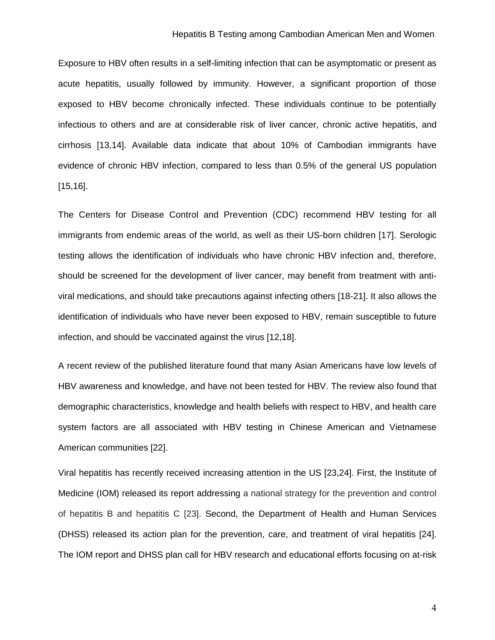#### Hepatitis B Testing among Cambodian American Men and Women

Exposure to HBV often results in a self-limiting infection that can be asymptomatic or present as acute hepatitis, usually followed by immunity. However, a significant proportion of those exposed to HBV become chronically infected. These individuals continue to be potentially infectious to others and are at considerable risk of liver cancer, chronic active hepatitis, and cirrhosis [13,14]. Available data indicate that about 10% of Cambodian immigrants have evidence of chronic HBV infection, compared to less than 0.5% of the general US population [15,16].

The Centers for Disease Control and Prevention (CDC) recommend HBV testing for all immigrants from endemic areas of the world, as well as their US-born children [17]. Serologic testing allows the identification of individuals who have chronic HBV infection and, therefore, should be screened for the development of liver cancer, may benefit from treatment with antiviral medications, and should take precautions against infecting others [18-21]. It also allows the identification of individuals who have never been exposed to HBV, remain susceptible to future infection, and should be vaccinated against the virus [12,18].

A recent review of the published literature found that many Asian Americans have low levels of HBV awareness and knowledge, and have not been tested for HBV. The review also found that demographic characteristics, knowledge and health beliefs with respect to HBV, and health care system factors are all associated with HBV testing in Chinese American and Vietnamese American communities [22].

Viral hepatitis has recently received increasing attention in the US [23,24]. First, the Institute of Medicine (IOM) released its report addressing a national strategy for the prevention and control of hepatitis B and hepatitis C [23]. Second, the Department of Health and Human Services (DHSS) released its action plan for the prevention, care, and treatment of viral hepatitis [24]. The IOM report and DHSS plan call for HBV research and educational efforts focusing on at-risk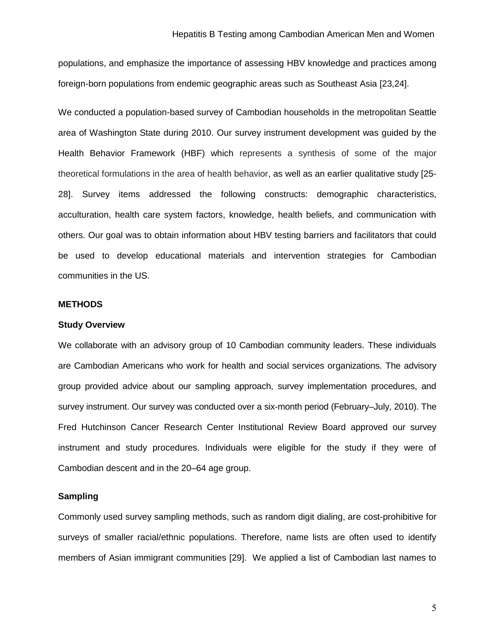populations, and emphasize the importance of assessing HBV knowledge and practices among foreign-born populations from endemic geographic areas such as Southeast Asia [23,24].

We conducted a population-based survey of Cambodian households in the metropolitan Seattle area of Washington State during 2010. Our survey instrument development was guided by the Health Behavior Framework (HBF) which represents a synthesis of some of the major theoretical formulations in the area of health behavior, as well as an earlier qualitative study [25- 28]. Survey items addressed the following constructs: demographic characteristics, acculturation, health care system factors, knowledge, health beliefs, and communication with others. Our goal was to obtain information about HBV testing barriers and facilitators that could be used to develop educational materials and intervention strategies for Cambodian communities in the US.

#### **METHODS**

#### **Study Overview**

We collaborate with an advisory group of 10 Cambodian community leaders. These individuals are Cambodian Americans who work for health and social services organizations. The advisory group provided advice about our sampling approach, survey implementation procedures, and survey instrument. Our survey was conducted over a six-month period (February–July, 2010). The Fred Hutchinson Cancer Research Center Institutional Review Board approved our survey instrument and study procedures. Individuals were eligible for the study if they were of Cambodian descent and in the 20–64 age group.

#### **Sampling**

Commonly used survey sampling methods, such as random digit dialing, are cost-prohibitive for surveys of smaller racial/ethnic populations. Therefore, name lists are often used to identify members of Asian immigrant communities [29]. We applied a list of Cambodian last names to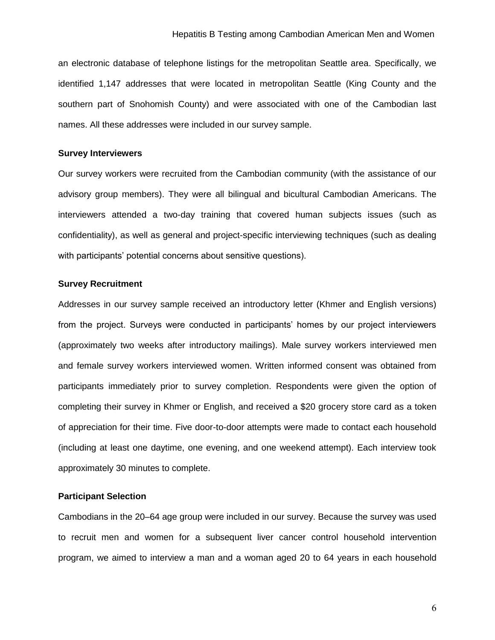an electronic database of telephone listings for the metropolitan Seattle area. Specifically, we identified 1,147 addresses that were located in metropolitan Seattle (King County and the southern part of Snohomish County) and were associated with one of the Cambodian last names. All these addresses were included in our survey sample.

#### **Survey Interviewers**

Our survey workers were recruited from the Cambodian community (with the assistance of our advisory group members). They were all bilingual and bicultural Cambodian Americans. The interviewers attended a two-day training that covered human subjects issues (such as confidentiality), as well as general and project-specific interviewing techniques (such as dealing with participants' potential concerns about sensitive questions).

#### **Survey Recruitment**

Addresses in our survey sample received an introductory letter (Khmer and English versions) from the project. Surveys were conducted in participants' homes by our project interviewers (approximately two weeks after introductory mailings). Male survey workers interviewed men and female survey workers interviewed women. Written informed consent was obtained from participants immediately prior to survey completion. Respondents were given the option of completing their survey in Khmer or English, and received a \$20 grocery store card as a token of appreciation for their time. Five door-to-door attempts were made to contact each household (including at least one daytime, one evening, and one weekend attempt). Each interview took approximately 30 minutes to complete.

#### **Participant Selection**

Cambodians in the 20–64 age group were included in our survey. Because the survey was used to recruit men and women for a subsequent liver cancer control household intervention program, we aimed to interview a man and a woman aged 20 to 64 years in each household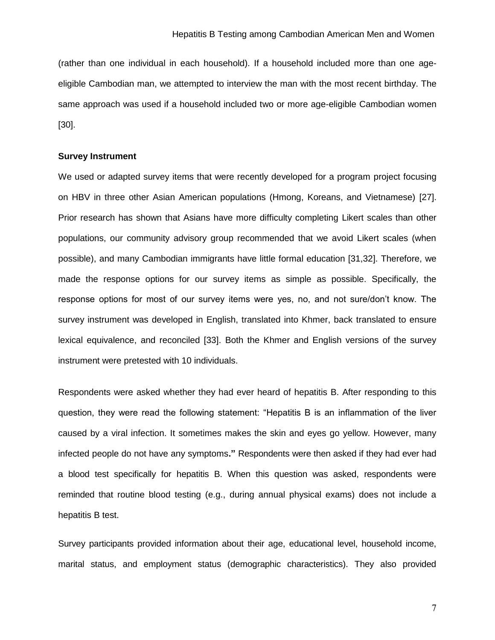(rather than one individual in each household). If a household included more than one ageeligible Cambodian man, we attempted to interview the man with the most recent birthday. The same approach was used if a household included two or more age-eligible Cambodian women [30].

#### **Survey Instrument**

We used or adapted survey items that were recently developed for a program project focusing on HBV in three other Asian American populations (Hmong, Koreans, and Vietnamese) [27]. Prior research has shown that Asians have more difficulty completing Likert scales than other populations, our community advisory group recommended that we avoid Likert scales (when possible), and many Cambodian immigrants have little formal education [31,32]. Therefore, we made the response options for our survey items as simple as possible. Specifically, the response options for most of our survey items were yes, no, and not sure/don't know. The survey instrument was developed in English, translated into Khmer, back translated to ensure lexical equivalence, and reconciled [33]. Both the Khmer and English versions of the survey instrument were pretested with 10 individuals.

Respondents were asked whether they had ever heard of hepatitis B. After responding to this question, they were read the following statement: "Hepatitis B is an inflammation of the liver caused by a viral infection. It sometimes makes the skin and eyes go yellow. However, many infected people do not have any symptoms**."** Respondents were then asked if they had ever had a blood test specifically for hepatitis B. When this question was asked, respondents were reminded that routine blood testing (e.g., during annual physical exams) does not include a hepatitis B test.

Survey participants provided information about their age, educational level, household income, marital status, and employment status (demographic characteristics). They also provided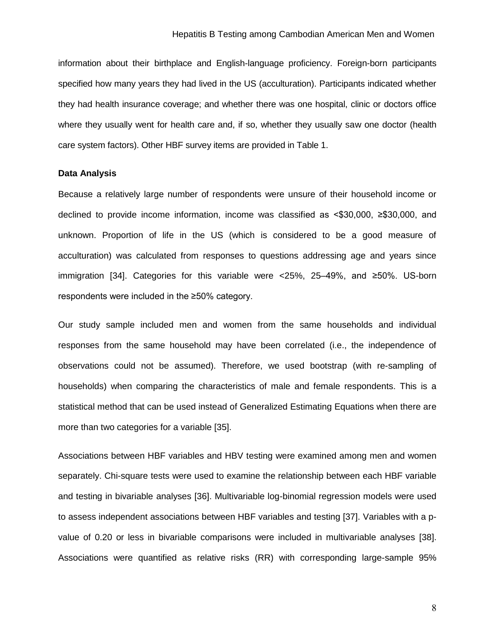information about their birthplace and English-language proficiency. Foreign-born participants specified how many years they had lived in the US (acculturation). Participants indicated whether they had health insurance coverage; and whether there was one hospital, clinic or doctors office where they usually went for health care and, if so, whether they usually saw one doctor (health care system factors). Other HBF survey items are provided in Table 1.

#### **Data Analysis**

Because a relatively large number of respondents were unsure of their household income or declined to provide income information, income was classified as <\$30,000, ≥\$30,000, and unknown. Proportion of life in the US (which is considered to be a good measure of acculturation) was calculated from responses to questions addressing age and years since immigration [34]. Categories for this variable were <25%, 25–49%, and ≥50%. US-born respondents were included in the ≥50% category.

Our study sample included men and women from the same households and individual responses from the same household may have been correlated (i.e., the independence of observations could not be assumed). Therefore, we used bootstrap (with re-sampling of households) when comparing the characteristics of male and female respondents. This is a statistical method that can be used instead of Generalized Estimating Equations when there are more than two categories for a variable [35].

Associations between HBF variables and HBV testing were examined among men and women separately. Chi-square tests were used to examine the relationship between each HBF variable and testing in bivariable analyses [36]. Multivariable log-binomial regression models were used to assess independent associations between HBF variables and testing [37]. Variables with a pvalue of 0.20 or less in bivariable comparisons were included in multivariable analyses [38]. Associations were quantified as relative risks (RR) with corresponding large-sample 95%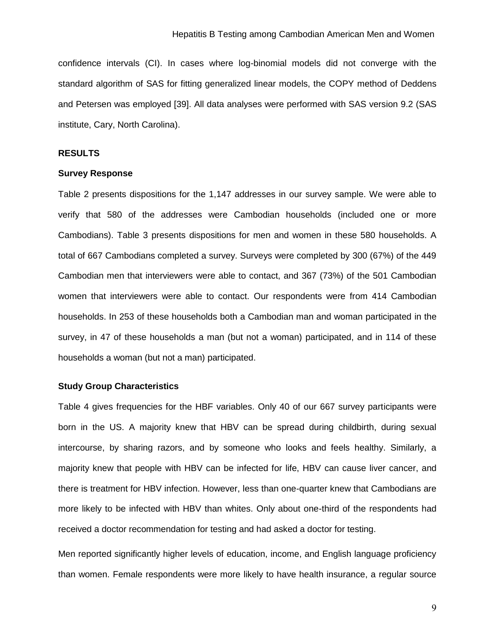confidence intervals (CI). In cases where log-binomial models did not converge with the standard algorithm of SAS for fitting generalized linear models, the COPY method of Deddens and Petersen was employed [39]. All data analyses were performed with SAS version 9.2 (SAS institute, Cary, North Carolina).

#### **RESULTS**

#### **Survey Response**

Table 2 presents dispositions for the 1,147 addresses in our survey sample. We were able to verify that 580 of the addresses were Cambodian households (included one or more Cambodians). Table 3 presents dispositions for men and women in these 580 households. A total of 667 Cambodians completed a survey. Surveys were completed by 300 (67%) of the 449 Cambodian men that interviewers were able to contact, and 367 (73%) of the 501 Cambodian women that interviewers were able to contact. Our respondents were from 414 Cambodian households. In 253 of these households both a Cambodian man and woman participated in the survey, in 47 of these households a man (but not a woman) participated, and in 114 of these households a woman (but not a man) participated.

#### **Study Group Characteristics**

Table 4 gives frequencies for the HBF variables. Only 40 of our 667 survey participants were born in the US. A majority knew that HBV can be spread during childbirth, during sexual intercourse, by sharing razors, and by someone who looks and feels healthy. Similarly, a majority knew that people with HBV can be infected for life, HBV can cause liver cancer, and there is treatment for HBV infection. However, less than one-quarter knew that Cambodians are more likely to be infected with HBV than whites. Only about one-third of the respondents had received a doctor recommendation for testing and had asked a doctor for testing.

Men reported significantly higher levels of education, income, and English language proficiency than women. Female respondents were more likely to have health insurance, a regular source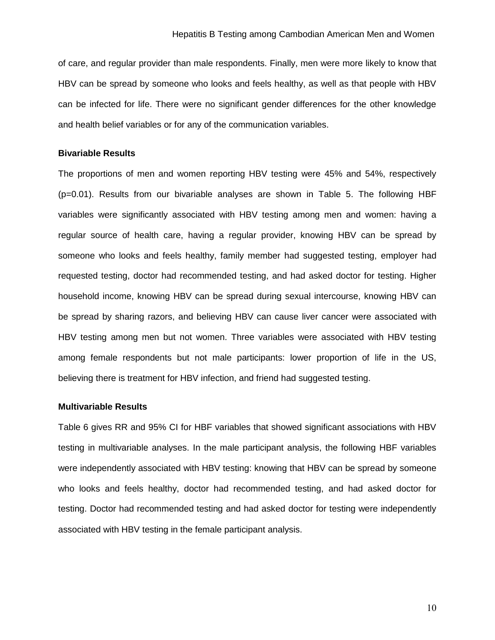of care, and regular provider than male respondents. Finally, men were more likely to know that HBV can be spread by someone who looks and feels healthy, as well as that people with HBV can be infected for life. There were no significant gender differences for the other knowledge and health belief variables or for any of the communication variables.

#### **Bivariable Results**

The proportions of men and women reporting HBV testing were 45% and 54%, respectively (p=0.01). Results from our bivariable analyses are shown in Table 5. The following HBF variables were significantly associated with HBV testing among men and women: having a regular source of health care, having a regular provider, knowing HBV can be spread by someone who looks and feels healthy, family member had suggested testing, employer had requested testing, doctor had recommended testing, and had asked doctor for testing. Higher household income, knowing HBV can be spread during sexual intercourse, knowing HBV can be spread by sharing razors, and believing HBV can cause liver cancer were associated with HBV testing among men but not women. Three variables were associated with HBV testing among female respondents but not male participants: lower proportion of life in the US, believing there is treatment for HBV infection, and friend had suggested testing.

#### **Multivariable Results**

Table 6 gives RR and 95% CI for HBF variables that showed significant associations with HBV testing in multivariable analyses. In the male participant analysis, the following HBF variables were independently associated with HBV testing: knowing that HBV can be spread by someone who looks and feels healthy, doctor had recommended testing, and had asked doctor for testing. Doctor had recommended testing and had asked doctor for testing were independently associated with HBV testing in the female participant analysis.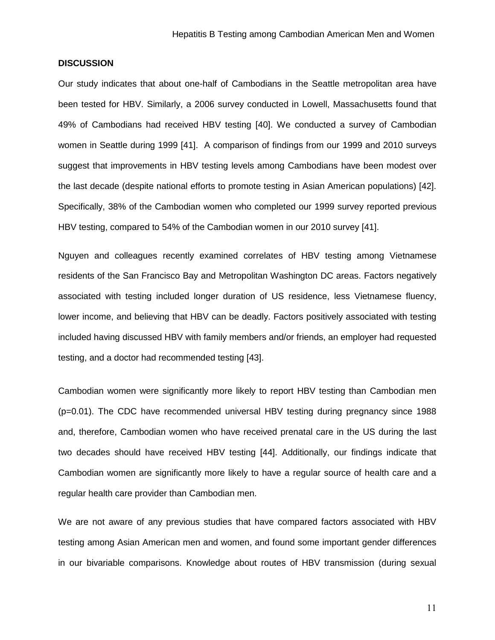#### **DISCUSSION**

Our study indicates that about one-half of Cambodians in the Seattle metropolitan area have been tested for HBV. Similarly, a 2006 survey conducted in Lowell, Massachusetts found that 49% of Cambodians had received HBV testing [40]. We conducted a survey of Cambodian women in Seattle during 1999 [41]. A comparison of findings from our 1999 and 2010 surveys suggest that improvements in HBV testing levels among Cambodians have been modest over the last decade (despite national efforts to promote testing in Asian American populations) [42]. Specifically, 38% of the Cambodian women who completed our 1999 survey reported previous HBV testing, compared to 54% of the Cambodian women in our 2010 survey [41].

Nguyen and colleagues recently examined correlates of HBV testing among Vietnamese residents of the San Francisco Bay and Metropolitan Washington DC areas. Factors negatively associated with testing included longer duration of US residence, less Vietnamese fluency, lower income, and believing that HBV can be deadly. Factors positively associated with testing included having discussed HBV with family members and/or friends, an employer had requested testing, and a doctor had recommended testing [43].

Cambodian women were significantly more likely to report HBV testing than Cambodian men (p=0.01). The CDC have recommended universal HBV testing during pregnancy since 1988 and, therefore, Cambodian women who have received prenatal care in the US during the last two decades should have received HBV testing [44]. Additionally, our findings indicate that Cambodian women are significantly more likely to have a regular source of health care and a regular health care provider than Cambodian men.

We are not aware of any previous studies that have compared factors associated with HBV testing among Asian American men and women, and found some important gender differences in our bivariable comparisons. Knowledge about routes of HBV transmission (during sexual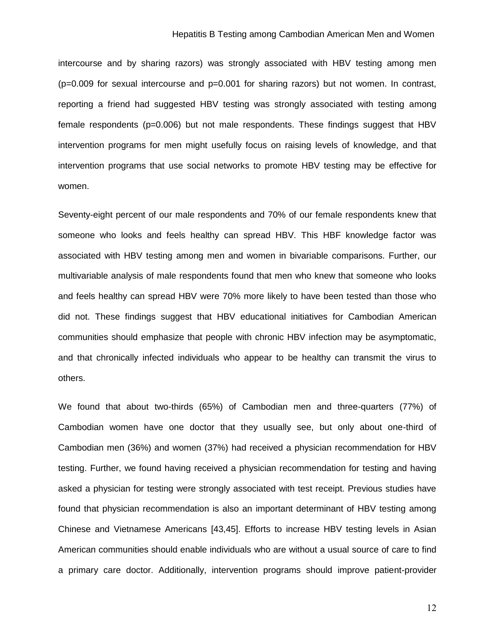#### Hepatitis B Testing among Cambodian American Men and Women

intercourse and by sharing razors) was strongly associated with HBV testing among men (p=0.009 for sexual intercourse and p=0.001 for sharing razors) but not women. In contrast, reporting a friend had suggested HBV testing was strongly associated with testing among female respondents (p=0.006) but not male respondents. These findings suggest that HBV intervention programs for men might usefully focus on raising levels of knowledge, and that intervention programs that use social networks to promote HBV testing may be effective for women.

Seventy-eight percent of our male respondents and 70% of our female respondents knew that someone who looks and feels healthy can spread HBV. This HBF knowledge factor was associated with HBV testing among men and women in bivariable comparisons. Further, our multivariable analysis of male respondents found that men who knew that someone who looks and feels healthy can spread HBV were 70% more likely to have been tested than those who did not. These findings suggest that HBV educational initiatives for Cambodian American communities should emphasize that people with chronic HBV infection may be asymptomatic, and that chronically infected individuals who appear to be healthy can transmit the virus to others.

We found that about two-thirds (65%) of Cambodian men and three-quarters (77%) of Cambodian women have one doctor that they usually see, but only about one-third of Cambodian men (36%) and women (37%) had received a physician recommendation for HBV testing. Further, we found having received a physician recommendation for testing and having asked a physician for testing were strongly associated with test receipt. Previous studies have found that physician recommendation is also an important determinant of HBV testing among Chinese and Vietnamese Americans [43,45]. Efforts to increase HBV testing levels in Asian American communities should enable individuals who are without a usual source of care to find a primary care doctor. Additionally, intervention programs should improve patient-provider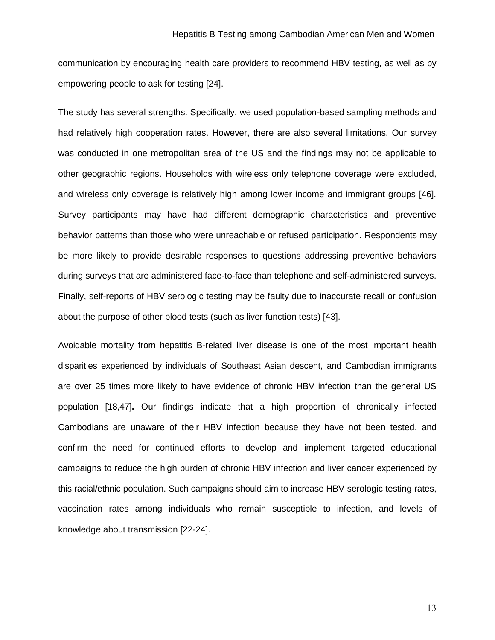communication by encouraging health care providers to recommend HBV testing, as well as by empowering people to ask for testing [24].

The study has several strengths. Specifically, we used population-based sampling methods and had relatively high cooperation rates. However, there are also several limitations. Our survey was conducted in one metropolitan area of the US and the findings may not be applicable to other geographic regions. Households with wireless only telephone coverage were excluded, and wireless only coverage is relatively high among lower income and immigrant groups [46]. Survey participants may have had different demographic characteristics and preventive behavior patterns than those who were unreachable or refused participation. Respondents may be more likely to provide desirable responses to questions addressing preventive behaviors during surveys that are administered face-to-face than telephone and self-administered surveys. Finally, self-reports of HBV serologic testing may be faulty due to inaccurate recall or confusion about the purpose of other blood tests (such as liver function tests) [43].

Avoidable mortality from hepatitis B-related liver disease is one of the most important health disparities experienced by individuals of Southeast Asian descent, and Cambodian immigrants are over 25 times more likely to have evidence of chronic HBV infection than the general US population [18,47]**.** Our findings indicate that a high proportion of chronically infected Cambodians are unaware of their HBV infection because they have not been tested, and confirm the need for continued efforts to develop and implement targeted educational campaigns to reduce the high burden of chronic HBV infection and liver cancer experienced by this racial/ethnic population. Such campaigns should aim to increase HBV serologic testing rates, vaccination rates among individuals who remain susceptible to infection, and levels of knowledge about transmission [22-24].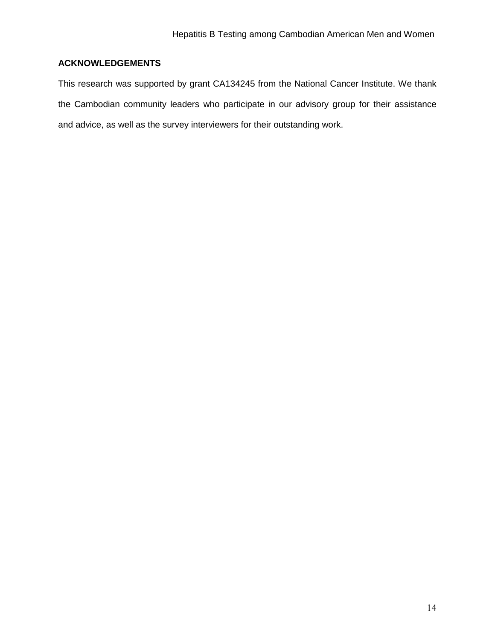## **ACKNOWLEDGEMENTS**

This research was supported by grant CA134245 from the National Cancer Institute. We thank the Cambodian community leaders who participate in our advisory group for their assistance and advice, as well as the survey interviewers for their outstanding work.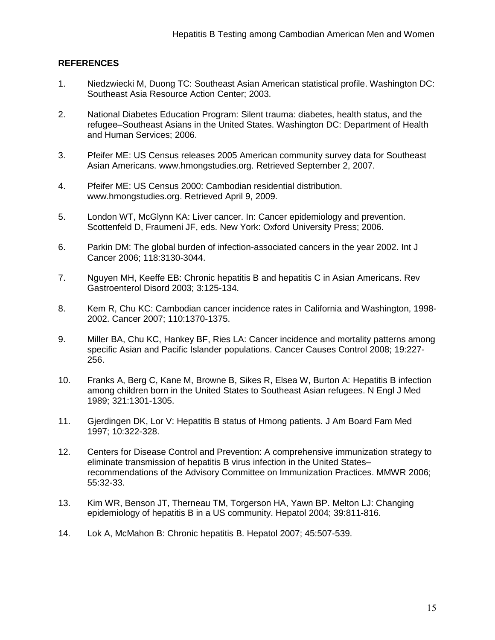### **REFERENCES**

- 1. Niedzwiecki M, Duong TC: Southeast Asian American statistical profile. Washington DC: Southeast Asia Resource Action Center; 2003.
- 2. National Diabetes Education Program: Silent trauma: diabetes, health status, and the refugee–Southeast Asians in the United States. Washington DC: Department of Health and Human Services; 2006.
- 3. Pfeifer ME: US Census releases 2005 American community survey data for Southeast Asian Americans. www.hmongstudies.org. Retrieved September 2, 2007.
- 4. Pfeifer ME: US Census 2000: Cambodian residential distribution. www.hmongstudies.org. Retrieved April 9, 2009.
- 5. London WT, McGlynn KA: Liver cancer. In: Cancer epidemiology and prevention. Scottenfeld D, Fraumeni JF, eds. New York: Oxford University Press; 2006.
- 6. Parkin DM: The global burden of infection-associated cancers in the year 2002. Int J Cancer 2006; 118:3130-3044.
- 7. Nguyen MH, Keeffe EB: Chronic hepatitis B and hepatitis C in Asian Americans. Rev Gastroenterol Disord 2003; 3:125-134.
- 8. Kem R, Chu KC: Cambodian cancer incidence rates in California and Washington, 1998- 2002. Cancer 2007; 110:1370-1375.
- 9. Miller BA, Chu KC, Hankey BF, Ries LA: Cancer incidence and mortality patterns among specific Asian and Pacific Islander populations. Cancer Causes Control 2008; 19:227- 256.
- 10. Franks A, Berg C, Kane M, Browne B, Sikes R, Elsea W, Burton A: Hepatitis B infection among children born in the United States to Southeast Asian refugees. N Engl J Med 1989; 321:1301-1305.
- 11. Gjerdingen DK, Lor V: Hepatitis B status of Hmong patients. J Am Board Fam Med 1997; 10:322-328.
- 12. Centers for Disease Control and Prevention: A comprehensive immunization strategy to eliminate transmission of hepatitis B virus infection in the United States– recommendations of the Advisory Committee on Immunization Practices. MMWR 2006; 55:32-33.
- 13. Kim WR, Benson JT, Therneau TM, Torgerson HA, Yawn BP. Melton LJ: Changing epidemiology of hepatitis B in a US community. Hepatol 2004; 39:811-816.
- 14. Lok A, McMahon B: Chronic hepatitis B. Hepatol 2007; 45:507-539.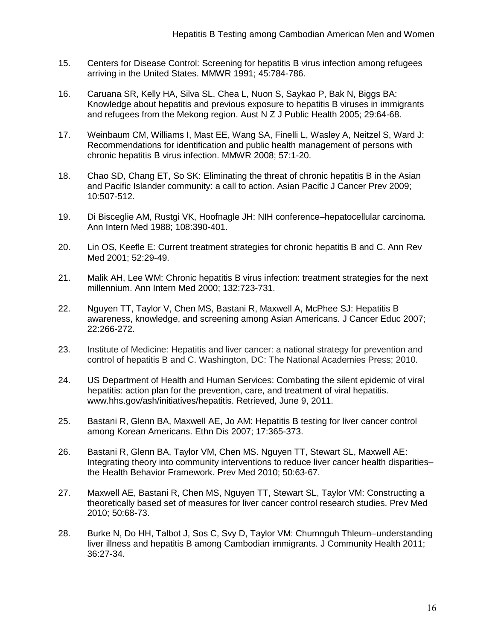- 15. Centers for Disease Control: Screening for hepatitis B virus infection among refugees arriving in the United States. MMWR 1991; 45:784-786.
- 16. Caruana SR, Kelly HA, Silva SL, Chea L, Nuon S, Saykao P, Bak N, Biggs BA: Knowledge about hepatitis and previous exposure to hepatitis B viruses in immigrants and refugees from the Mekong region. Aust N Z J Public Health 2005; 29:64-68.
- 17. Weinbaum CM, Williams I, Mast EE, Wang SA, Finelli L, Wasley A, Neitzel S, Ward J: Recommendations for identification and public health management of persons with chronic hepatitis B virus infection. MMWR 2008; 57:1-20.
- 18. Chao SD, Chang ET, So SK: Eliminating the threat of chronic hepatitis B in the Asian and Pacific Islander community: a call to action. Asian Pacific J Cancer Prev 2009; 10:507-512.
- 19. Di Bisceglie AM, Rustgi VK, Hoofnagle JH: NIH conference–hepatocellular carcinoma. Ann Intern Med 1988; 108:390-401.
- 20. Lin OS, Keefle E: Current treatment strategies for chronic hepatitis B and C. Ann Rev Med 2001; 52:29-49.
- 21. Malik AH, Lee WM: Chronic hepatitis B virus infection: treatment strategies for the next millennium. Ann Intern Med 2000; 132:723-731.
- 22. Nguyen TT, Taylor V, Chen MS, Bastani R, Maxwell A, McPhee SJ: Hepatitis B awareness, knowledge, and screening among Asian Americans. J Cancer Educ 2007; 22:266-272.
- 23. Institute of Medicine: Hepatitis and liver cancer: a national strategy for prevention and control of hepatitis B and C. Washington, DC: The National Academies Press; 2010.
- 24. US Department of Health and Human Services: Combating the silent epidemic of viral hepatitis: action plan for the prevention, care, and treatment of viral hepatitis. www.hhs.gov/ash/initiatives/hepatitis. Retrieved, June 9, 2011.
- 25. Bastani R, Glenn BA, Maxwell AE, Jo AM: Hepatitis B testing for liver cancer control among Korean Americans. Ethn Dis 2007; 17:365-373.
- 26. Bastani R, Glenn BA, Taylor VM, Chen MS. Nguyen TT, Stewart SL, Maxwell AE: Integrating theory into community interventions to reduce liver cancer health disparities– the Health Behavior Framework. Prev Med 2010; 50:63-67.
- 27. Maxwell AE, Bastani R, Chen MS, Nguyen TT, Stewart SL, Taylor VM: Constructing a theoretically based set of measures for liver cancer control research studies. Prev Med 2010; 50:68-73.
- 28. Burke N, Do HH, Talbot J, Sos C, Svy D, Taylor VM: Chumnguh Thleum–understanding liver illness and hepatitis B among Cambodian immigrants. J Community Health 2011; 36:27-34.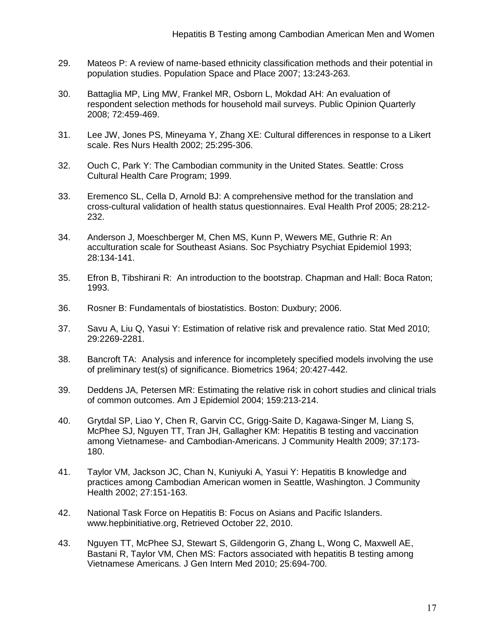- 29. Mateos P: A review of name-based ethnicity classification methods and their potential in population studies. Population Space and Place 2007; 13:243-263.
- 30. Battaglia MP, Ling MW, Frankel MR, Osborn L, Mokdad AH: An evaluation of respondent selection methods for household mail surveys. Public Opinion Quarterly 2008; 72:459-469.
- 31. Lee JW, Jones PS, Mineyama Y, Zhang XE: Cultural differences in response to a Likert scale. Res Nurs Health 2002; 25:295-306.
- 32. Ouch C, Park Y: The Cambodian community in the United States. Seattle: Cross Cultural Health Care Program; 1999.
- 33. Eremenco SL, Cella D, Arnold BJ: A comprehensive method for the translation and cross-cultural validation of health status questionnaires. Eval Health Prof 2005; 28:212- 232.
- 34. Anderson J, Moeschberger M, Chen MS, Kunn P, Wewers ME, Guthrie R: An acculturation scale for Southeast Asians. Soc Psychiatry Psychiat Epidemiol 1993; 28:134-141.
- 35. Efron B, Tibshirani R: An introduction to the bootstrap. Chapman and Hall: Boca Raton; 1993.
- 36. Rosner B: Fundamentals of biostatistics. Boston: Duxbury; 2006.
- 37. Savu A, Liu Q, Yasui Y: Estimation of relative risk and prevalence ratio. Stat Med 2010; 29:2269-2281.
- 38. Bancroft TA: Analysis and inference for incompletely specified models involving the use of preliminary test(s) of significance. Biometrics 1964; 20:427-442.
- 39. Deddens JA, Petersen MR: Estimating the relative risk in cohort studies and clinical trials of common outcomes. Am J Epidemiol 2004; 159:213-214.
- 40. Grytdal SP, Liao Y, Chen R, Garvin CC, Grigg-Saite D, Kagawa-Singer M, Liang S, McPhee SJ, Nguyen TT, Tran JH, Gallagher KM: Hepatitis B testing and vaccination among Vietnamese- and Cambodian-Americans. J Community Health 2009; 37:173- 180.
- 41. Taylor VM, Jackson JC, Chan N, Kuniyuki A, Yasui Y: Hepatitis B knowledge and practices among Cambodian American women in Seattle, Washington. J Community Health 2002; 27:151-163.
- 42. National Task Force on Hepatitis B: Focus on Asians and Pacific Islanders. www.hepbinitiative.org, Retrieved October 22, 2010.
- 43. Nguyen TT, McPhee SJ, Stewart S, Gildengorin G, Zhang L, Wong C, Maxwell AE, Bastani R, Taylor VM, Chen MS: Factors associated with hepatitis B testing among Vietnamese Americans. J Gen Intern Med 2010; 25:694-700.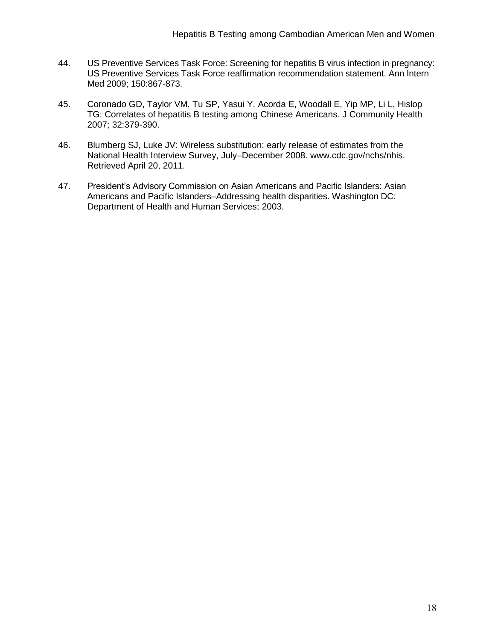- 44. US Preventive Services Task Force: Screening for hepatitis B virus infection in pregnancy: US Preventive Services Task Force reaffirmation recommendation statement. Ann Intern Med 2009; 150:867-873.
- 45. Coronado GD, Taylor VM, Tu SP, Yasui Y, Acorda E, Woodall E, Yip MP, Li L, Hislop TG: Correlates of hepatitis B testing among Chinese Americans. J Community Health 2007; 32:379-390.
- 46. Blumberg SJ, Luke JV: Wireless substitution: early release of estimates from the National Health Interview Survey, July–December 2008. www.cdc.gov/nchs/nhis. Retrieved April 20, 2011.
- 47. President's Advisory Commission on Asian Americans and Pacific Islanders: Asian Americans and Pacific Islanders–Addressing health disparities. Washington DC: Department of Health and Human Services; 2003.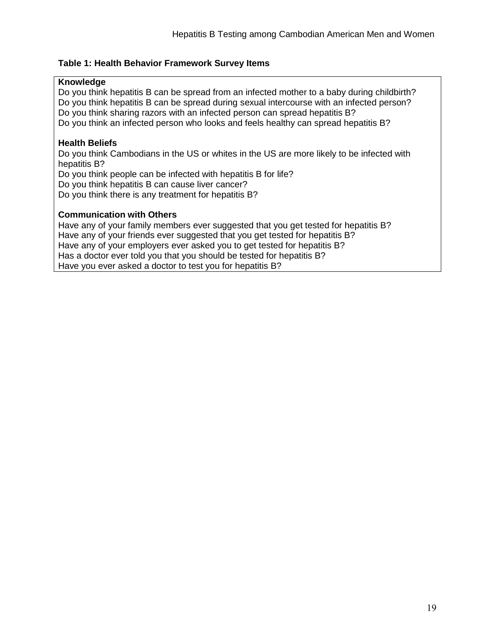### **Table 1: Health Behavior Framework Survey Items**

### **Knowledge**

Do you think hepatitis B can be spread from an infected mother to a baby during childbirth? Do you think hepatitis B can be spread during sexual intercourse with an infected person? Do you think sharing razors with an infected person can spread hepatitis B? Do you think an infected person who looks and feels healthy can spread hepatitis B?

### **Health Beliefs**

Do you think Cambodians in the US or whites in the US are more likely to be infected with hepatitis B?

Do you think people can be infected with hepatitis B for life?

Do you think hepatitis B can cause liver cancer?

Do you think there is any treatment for hepatitis B?

### **Communication with Others**

Have any of your family members ever suggested that you get tested for hepatitis B? Have any of your friends ever suggested that you get tested for hepatitis B? Have any of your employers ever asked you to get tested for hepatitis B? Has a doctor ever told you that you should be tested for hepatitis B? Have you ever asked a doctor to test you for hepatitis B?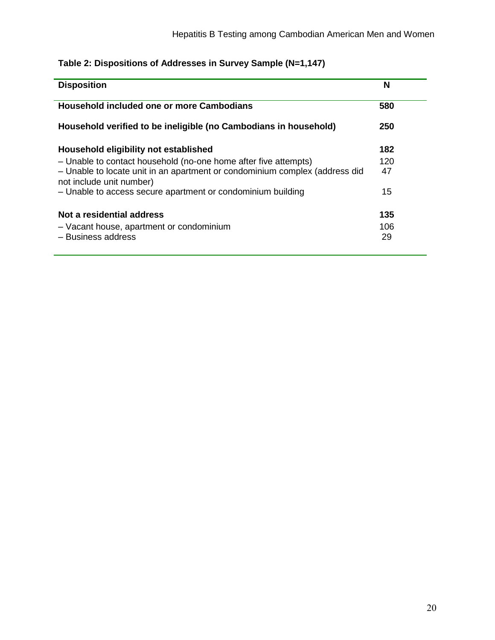# **Table 2: Dispositions of Addresses in Survey Sample (N=1,147)**

| <b>Disposition</b>                                                                                      | N   |
|---------------------------------------------------------------------------------------------------------|-----|
| Household included one or more Cambodians                                                               | 580 |
| Household verified to be ineligible (no Cambodians in household)                                        | 250 |
| Household eligibility not established                                                                   | 182 |
| - Unable to contact household (no-one home after five attempts)                                         | 120 |
| - Unable to locate unit in an apartment or condominium complex (address did<br>not include unit number) | 47  |
| - Unable to access secure apartment or condominium building                                             | 15  |
| Not a residential address                                                                               | 135 |
| - Vacant house, apartment or condominium                                                                | 106 |
| - Business address                                                                                      | 29  |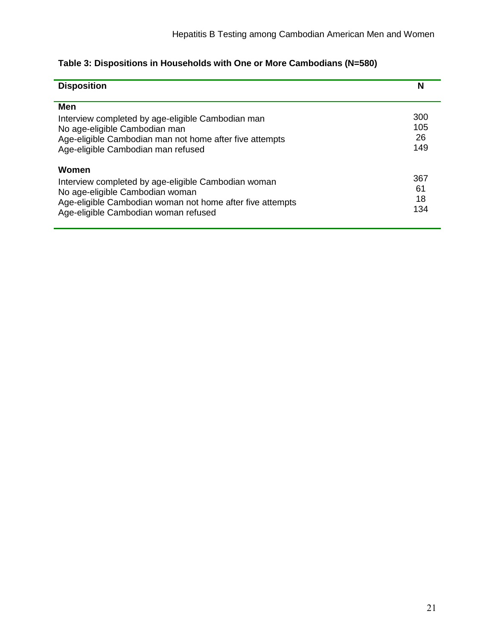| <b>Disposition</b>                                                                                                                                                                                   | N                       |
|------------------------------------------------------------------------------------------------------------------------------------------------------------------------------------------------------|-------------------------|
| Men<br>Interview completed by age-eligible Cambodian man<br>No age-eligible Cambodian man<br>Age-eligible Cambodian man not home after five attempts<br>Age-eligible Cambodian man refused           | 300<br>105<br>26<br>149 |
| Women<br>Interview completed by age-eligible Cambodian woman<br>No age-eligible Cambodian woman<br>Age-eligible Cambodian woman not home after five attempts<br>Age-eligible Cambodian woman refused | 367<br>61<br>18<br>134  |

# **Table 3: Dispositions in Households with One or More Cambodians (N=580)**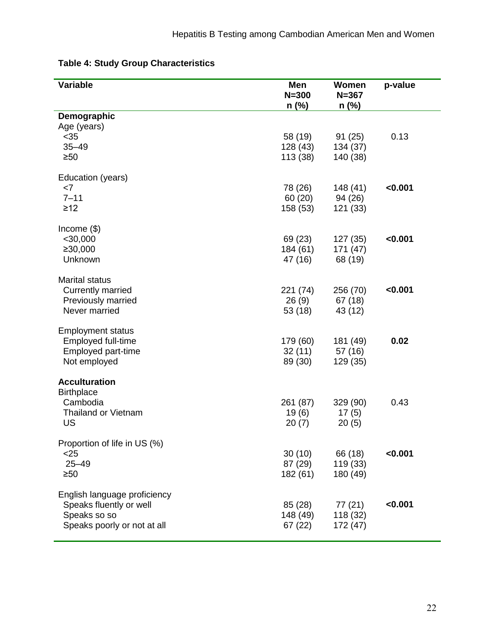<u> 1989 - Johann Stein, mars an deus Amerikaansk kommunister (\* 1958)</u>

| Variable                                                                                               | Men<br>$N = 300$<br>$n$ (%)     | Women<br>$N = 367$<br>$n$ (%)   | p-value |
|--------------------------------------------------------------------------------------------------------|---------------------------------|---------------------------------|---------|
| Demographic<br>Age (years)                                                                             |                                 |                                 |         |
| $35$<br>$35 - 49$<br>$\geq 50$                                                                         | 58 (19)<br>128 (43)<br>113 (38) | 91(25)<br>134 (37)<br>140 (38)  | 0.13    |
| Education (years)<br><7<br>$7 - 11$<br>$\geq$ 12                                                       | 78 (26)<br>60(20)<br>158 (53)   | 148 (41)<br>94 (26)<br>121 (33) | < 0.001 |
| Income $(\$)$<br>$<$ 30,000<br>≥30,000<br>Unknown                                                      | 69 (23)<br>184 (61)<br>47 (16)  | 127 (35)<br>171(47)<br>68 (19)  | < 0.001 |
| <b>Marital status</b><br><b>Currently married</b><br>Previously married<br>Never married               | 221 (74)<br>26(9)<br>53 (18)    | 256 (70)<br>67(18)<br>43 (12)   | < 0.001 |
| <b>Employment status</b><br>Employed full-time<br>Employed part-time<br>Not employed                   | 179 (60)<br>32(11)<br>89 (30)   | 181 (49)<br>57 (16)<br>129 (35) | 0.02    |
| <b>Acculturation</b><br><b>Birthplace</b><br>Cambodia<br><b>Thailand or Vietnam</b><br>US              | 261 (87)<br>19(6)<br>20(7)      | 329 (90)<br>17(5)<br>20(5)      | 0.43    |
| Proportion of life in US (%)<br>$<$ 25<br>$25 - 49$<br>$\geq 50$                                       | 30(10)<br>87 (29)<br>182 (61)   | 66 (18)<br>119 (33)<br>180 (49) | < 0.001 |
| English language proficiency<br>Speaks fluently or well<br>Speaks so so<br>Speaks poorly or not at all | 85 (28)<br>148 (49)<br>67(22)   | 77(21)<br>118 (32)<br>172 (47)  | < 0.001 |

# **Table 4: Study Group Characteristics**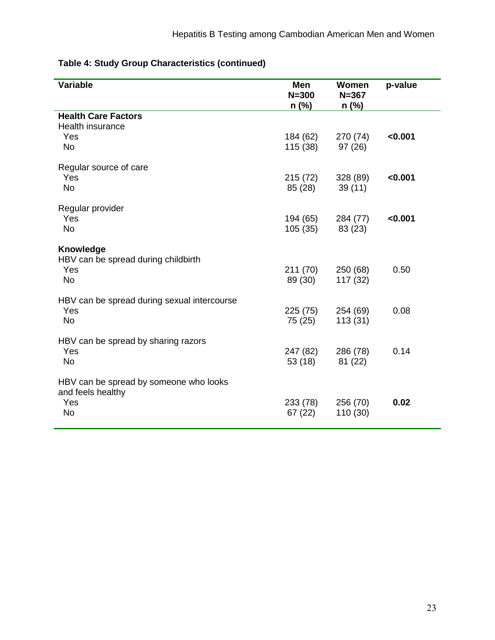|  |  | Table 4: Study Group Characteristics (continued) |  |
|--|--|--------------------------------------------------|--|
|--|--|--------------------------------------------------|--|

| Variable                                                             | Men<br>$N = 300$<br>$n$ (%) | Women<br>$N = 367$<br>$n$ (%) | p-value |
|----------------------------------------------------------------------|-----------------------------|-------------------------------|---------|
| <b>Health Care Factors</b>                                           |                             |                               |         |
| <b>Health insurance</b>                                              |                             |                               |         |
| Yes                                                                  | 184 (62)                    | 270 (74)                      | < 0.001 |
| <b>No</b>                                                            | 115 (38)                    | 97 (26)                       |         |
| Regular source of care                                               |                             |                               |         |
| Yes                                                                  | 215 (72)                    | 328 (89)                      | < 0.001 |
| <b>No</b>                                                            | 85 (28)                     | 39(11)                        |         |
| Regular provider                                                     |                             |                               |         |
| Yes                                                                  | 194 (65)                    | 284 (77)                      | < 0.001 |
| <b>No</b>                                                            | 105(35)                     | 83 (23)                       |         |
| Knowledge<br>HBV can be spread during childbirth<br>Yes<br><b>No</b> | 211 (70)<br>89 (30)         | 250 (68)<br>117 (32)          | 0.50    |
| HBV can be spread during sexual intercourse                          |                             |                               |         |
| Yes                                                                  | 225(75)                     | 254 (69)                      | 0.08    |
| <b>No</b>                                                            | 75 (25)                     | 113(31)                       |         |
| HBV can be spread by sharing razors<br>Yes<br><b>No</b>              | 247 (82)<br>53(18)          | 286 (78)<br>81 (22)           | 0.14    |
| HBV can be spread by someone who looks<br>and feels healthy          |                             |                               |         |
| Yes                                                                  | 233 (78)                    | 256 (70)                      | 0.02    |
| <b>No</b>                                                            | 67 (22)                     | 110 (30)                      |         |
|                                                                      |                             |                               |         |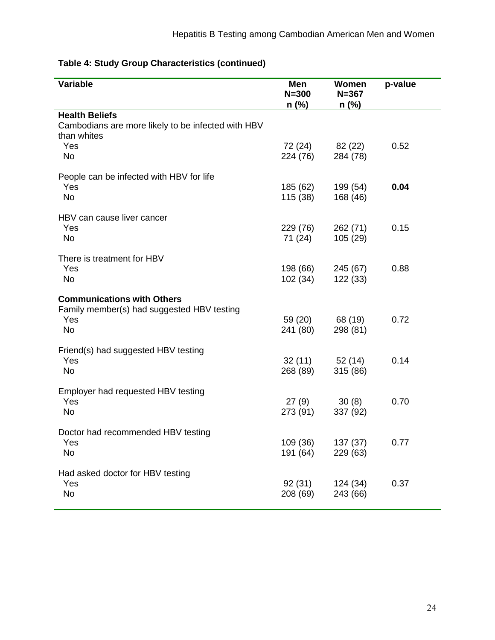| Variable                                                                                            | <b>Men</b><br>$N = 300$<br>$n$ (%) | Women<br>$N = 367$<br>$n$ (%) | p-value |
|-----------------------------------------------------------------------------------------------------|------------------------------------|-------------------------------|---------|
| <b>Health Beliefs</b><br>Cambodians are more likely to be infected with HBV<br>than whites          |                                    |                               |         |
| Yes<br><b>No</b>                                                                                    | 72 (24)<br>224 (76)                | 82 (22)<br>284 (78)           | 0.52    |
| People can be infected with HBV for life<br>Yes<br><b>No</b>                                        | 185 (62)<br>115 (38)               | 199 (54)<br>168 (46)          | 0.04    |
| HBV can cause liver cancer<br>Yes<br><b>No</b>                                                      | 229 (76)<br>71 (24)                | 262 (71)<br>105(29)           | 0.15    |
| There is treatment for HBV<br>Yes<br><b>No</b>                                                      | 198 (66)<br>102 (34)               | 245 (67)<br>122 (33)          | 0.88    |
| <b>Communications with Others</b><br>Family member(s) had suggested HBV testing<br>Yes<br><b>No</b> | 59 (20)<br>241 (80)                | 68 (19)<br>298 (81)           | 0.72    |
| Friend(s) had suggested HBV testing<br>Yes<br><b>No</b>                                             | 32(11)<br>268 (89)                 | 52(14)<br>315 (86)            | 0.14    |
| Employer had requested HBV testing<br>Yes<br><b>No</b>                                              | 27(9)<br>273 (91)                  | 30(8)<br>337 (92)             | 0.70    |
| Doctor had recommended HBV testing<br>Yes<br>No                                                     | 109 (36)<br>191 (64)               | 137 (37)<br>229 (63)          | 0.77    |
| Had asked doctor for HBV testing<br>Yes<br><b>No</b>                                                | 92(31)<br>208 (69)                 | 124 (34)<br>243 (66)          | 0.37    |

# **Table 4: Study Group Characteristics (continued)**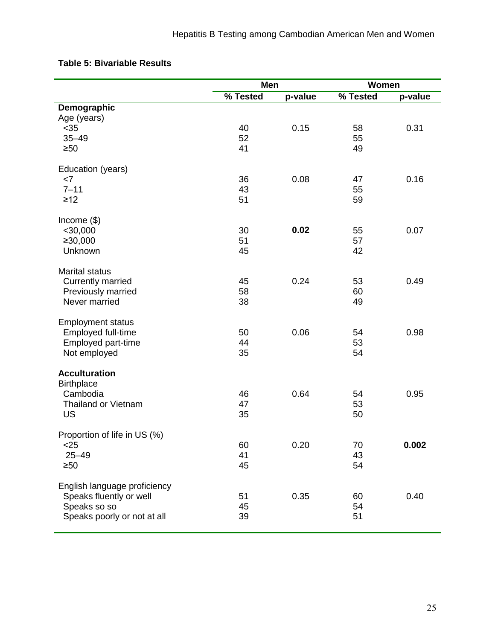|                              | Men      |         | Women    |         |
|------------------------------|----------|---------|----------|---------|
|                              | % Tested | p-value | % Tested | p-value |
| Demographic                  |          |         |          |         |
| Age (years)                  |          |         |          |         |
| $35$                         | 40       | 0.15    | 58       | 0.31    |
| $35 - 49$                    | 52       |         | 55       |         |
| $\geq 50$                    | 41       |         | 49       |         |
| Education (years)            |          |         |          |         |
| <7                           | 36       | 0.08    | 47       | 0.16    |
| $7 - 11$                     | 43       |         | 55       |         |
| $\geq$ 12                    | 51       |         | 59       |         |
| Income $(\$)$                |          |         |          |         |
| $<$ 30,000                   | 30       | 0.02    | 55       | 0.07    |
| ≥30,000                      | 51       |         | 57       |         |
| Unknown                      | 45       |         | 42       |         |
| <b>Marital status</b>        |          |         |          |         |
| <b>Currently married</b>     | 45       | 0.24    | 53       | 0.49    |
| Previously married           | 58       |         | 60       |         |
| Never married                | 38       |         | 49       |         |
| <b>Employment status</b>     |          |         |          |         |
| Employed full-time           | 50       | 0.06    | 54       | 0.98    |
| Employed part-time           | 44       |         | 53       |         |
| Not employed                 | 35       |         | 54       |         |
| <b>Acculturation</b>         |          |         |          |         |
| <b>Birthplace</b>            |          |         |          |         |
| Cambodia                     | 46       | 0.64    | 54       | 0.95    |
| <b>Thailand or Vietnam</b>   | 47       |         | 53       |         |
| <b>US</b>                    | 35       |         | 50       |         |
| Proportion of life in US (%) |          |         |          |         |
| $25$                         | 60       | 0.20    | 70       | 0.002   |
| $25 - 49$                    | 41       |         | 43       |         |
| $\geq 50$                    | 45       |         | 54       |         |
| English language proficiency |          |         |          |         |
| Speaks fluently or well      | 51       | 0.35    | 60       | 0.40    |
| Speaks so so                 | 45       |         | 54       |         |
| Speaks poorly or not at all  | 39       |         | 51       |         |
|                              |          |         |          |         |

## **Table 5: Bivariable Results**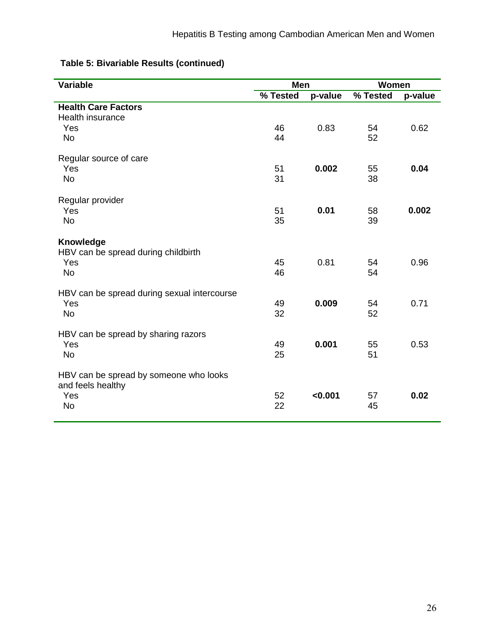|  | Table 5: Bivariable Results (continued) |  |
|--|-----------------------------------------|--|
|--|-----------------------------------------|--|

| <b>Variable</b>                                             | Men      |         | Women    |         |
|-------------------------------------------------------------|----------|---------|----------|---------|
|                                                             | % Tested | p-value | % Tested | p-value |
| <b>Health Care Factors</b>                                  |          |         |          |         |
| Health insurance                                            |          |         |          |         |
| Yes                                                         | 46       | 0.83    | 54       | 0.62    |
| <b>No</b>                                                   | 44       |         | 52       |         |
| Regular source of care                                      |          |         |          |         |
| Yes                                                         | 51       | 0.002   | 55       | 0.04    |
| <b>No</b>                                                   | 31       |         | 38       |         |
| Regular provider                                            |          |         |          |         |
| Yes                                                         | 51       | 0.01    | 58       | 0.002   |
| <b>No</b>                                                   | 35       |         | 39       |         |
| Knowledge                                                   |          |         |          |         |
| HBV can be spread during childbirth                         |          |         |          |         |
| Yes                                                         | 45       | 0.81    | 54       | 0.96    |
| <b>No</b>                                                   | 46       |         | 54       |         |
| HBV can be spread during sexual intercourse                 |          |         |          |         |
| Yes                                                         | 49       | 0.009   | 54       | 0.71    |
| <b>No</b>                                                   | 32       |         | 52       |         |
| HBV can be spread by sharing razors                         |          |         |          |         |
| Yes                                                         | 49       | 0.001   | 55       | 0.53    |
| <b>No</b>                                                   | 25       |         | 51       |         |
| HBV can be spread by someone who looks<br>and feels healthy |          |         |          |         |
| Yes                                                         | 52       | < 0.001 | 57       | 0.02    |
| No                                                          | 22       |         | 45       |         |
|                                                             |          |         |          |         |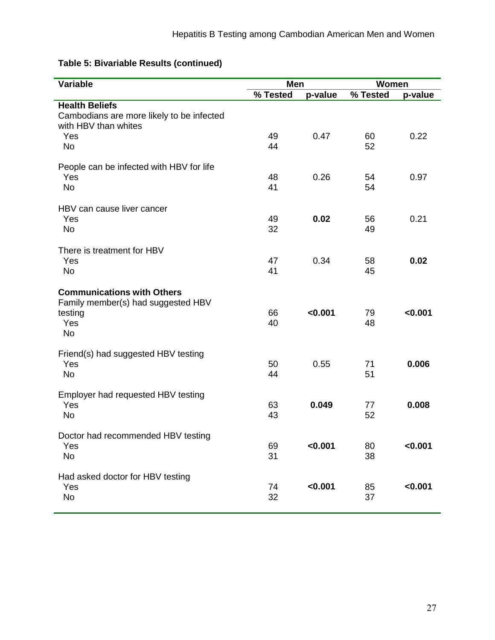| Variable                                                                                        | <b>Men</b> |         | Women    |         |
|-------------------------------------------------------------------------------------------------|------------|---------|----------|---------|
|                                                                                                 | % Tested   | p-value | % Tested | p-value |
| <b>Health Beliefs</b><br>Cambodians are more likely to be infected<br>with HBV than whites      |            |         |          |         |
| Yes<br>No                                                                                       | 49<br>44   | 0.47    | 60<br>52 | 0.22    |
| People can be infected with HBV for life<br>Yes<br>No                                           | 48<br>41   | 0.26    | 54<br>54 | 0.97    |
| HBV can cause liver cancer<br>Yes<br>No                                                         | 49<br>32   | 0.02    | 56<br>49 | 0.21    |
| There is treatment for HBV<br>Yes<br>No                                                         | 47<br>41   | 0.34    | 58<br>45 | 0.02    |
| <b>Communications with Others</b><br>Family member(s) had suggested HBV<br>testing<br>Yes<br>No | 66<br>40   | < 0.001 | 79<br>48 | < 0.001 |
| Friend(s) had suggested HBV testing<br>Yes<br>No                                                | 50<br>44   | 0.55    | 71<br>51 | 0.006   |
| Employer had requested HBV testing<br>Yes<br>No                                                 | 63<br>43   | 0.049   | 77<br>52 | 0.008   |
| Doctor had recommended HBV testing<br>Yes<br><b>No</b>                                          | 69<br>31   | < 0.001 | 80<br>38 | < 0.001 |
| Had asked doctor for HBV testing<br>Yes<br><b>No</b>                                            | 74<br>32   | < 0.001 | 85<br>37 | < 0.001 |

# **Table 5: Bivariable Results (continued)**